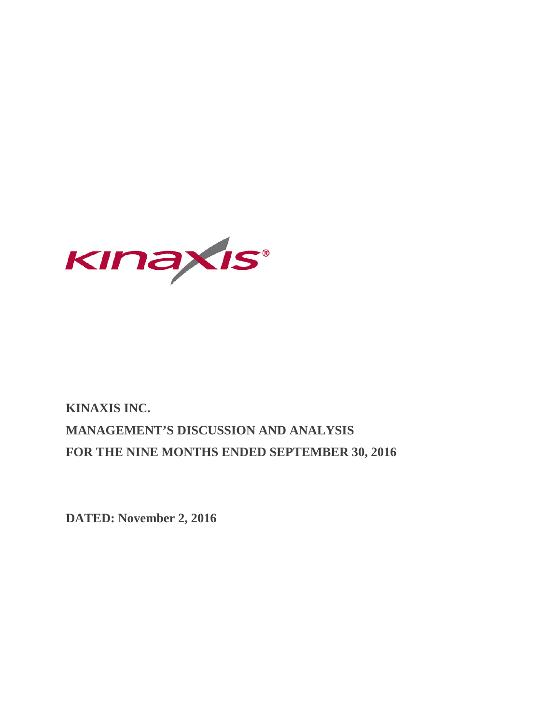

# **KINAXIS INC. MANAGEMENT'S DISCUSSION AND ANALYSIS FOR THE NINE MONTHS ENDED SEPTEMBER 30, 2016**

**DATED: November 2, 2016**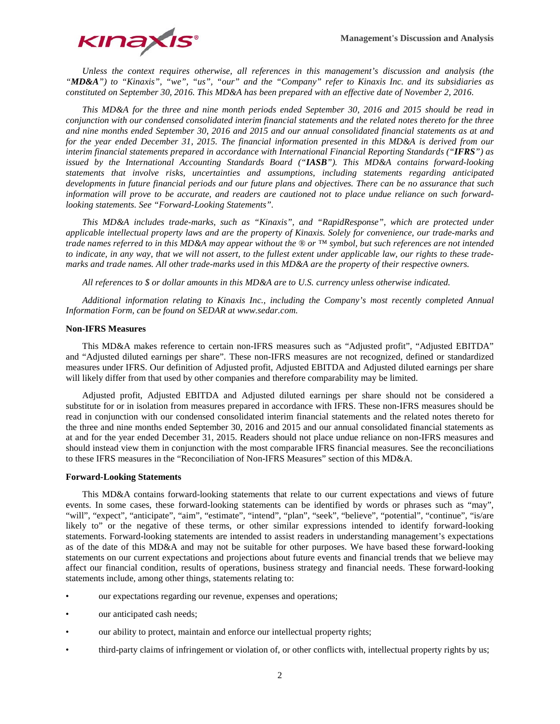

*Unless the context requires otherwise, all references in this management's discussion and analysis (the "MD&A") to "Kinaxis", "we", "us", "our" and the "Company" refer to Kinaxis Inc. and its subsidiaries as constituted on September 30, 2016. This MD&A has been prepared with an effective date of November 2, 2016.*

*This MD&A for the three and nine month periods ended September 30, 2016 and 2015 should be read in conjunction with our condensed consolidated interim financial statements and the related notes thereto for the three and nine months ended September 30, 2016 and 2015 and our annual consolidated financial statements as at and for the year ended December 31, 2015. The financial information presented in this MD&A is derived from our interim financial statements prepared in accordance with International Financial Reporting Standards ("IFRS") as issued by the International Accounting Standards Board ("IASB"). This MD&A contains forward-looking statements that involve risks, uncertainties and assumptions, including statements regarding anticipated developments in future financial periods and our future plans and objectives. There can be no assurance that such information will prove to be accurate, and readers are cautioned not to place undue reliance on such forwardlooking statements. See "Forward-Looking Statements".*

*This MD&A includes trade-marks, such as "Kinaxis", and "RapidResponse", which are protected under applicable intellectual property laws and are the property of Kinaxis. Solely for convenience, our trade-marks and trade names referred to in this MD&A may appear without the ® or ™ symbol, but such references are not intended to indicate, in any way, that we will not assert, to the fullest extent under applicable law, our rights to these trademarks and trade names. All other trade-marks used in this MD&A are the property of their respective owners.*

*All references to \$ or dollar amounts in this MD&A are to U.S. currency unless otherwise indicated.* 

*Additional information relating to Kinaxis Inc., including the Company's most recently completed Annual Information Form, can be found on SEDAR at www.sedar.com.*

## **Non-IFRS Measures**

This MD&A makes reference to certain non-IFRS measures such as "Adjusted profit", "Adjusted EBITDA" and "Adjusted diluted earnings per share". These non-IFRS measures are not recognized, defined or standardized measures under IFRS. Our definition of Adjusted profit, Adjusted EBITDA and Adjusted diluted earnings per share will likely differ from that used by other companies and therefore comparability may be limited.

Adjusted profit, Adjusted EBITDA and Adjusted diluted earnings per share should not be considered a substitute for or in isolation from measures prepared in accordance with IFRS. These non-IFRS measures should be read in conjunction with our condensed consolidated interim financial statements and the related notes thereto for the three and nine months ended September 30, 2016 and 2015 and our annual consolidated financial statements as at and for the year ended December 31, 2015. Readers should not place undue reliance on non-IFRS measures and should instead view them in conjunction with the most comparable IFRS financial measures. See the reconciliations to these IFRS measures in the "Reconciliation of Non-IFRS Measures" section of this MD&A.

#### **Forward-Looking Statements**

This MD&A contains forward-looking statements that relate to our current expectations and views of future events. In some cases, these forward-looking statements can be identified by words or phrases such as "may", "will", "expect", "anticipate", "aim", "estimate", "intend", "plan", "seek", "believe", "potential", "continue", "is/are likely to" or the negative of these terms, or other similar expressions intended to identify forward-looking statements. Forward-looking statements are intended to assist readers in understanding management's expectations as of the date of this MD&A and may not be suitable for other purposes. We have based these forward-looking statements on our current expectations and projections about future events and financial trends that we believe may affect our financial condition, results of operations, business strategy and financial needs. These forward-looking statements include, among other things, statements relating to:

- our expectations regarding our revenue, expenses and operations;
- our anticipated cash needs;
- our ability to protect, maintain and enforce our intellectual property rights;
- third-party claims of infringement or violation of, or other conflicts with, intellectual property rights by us;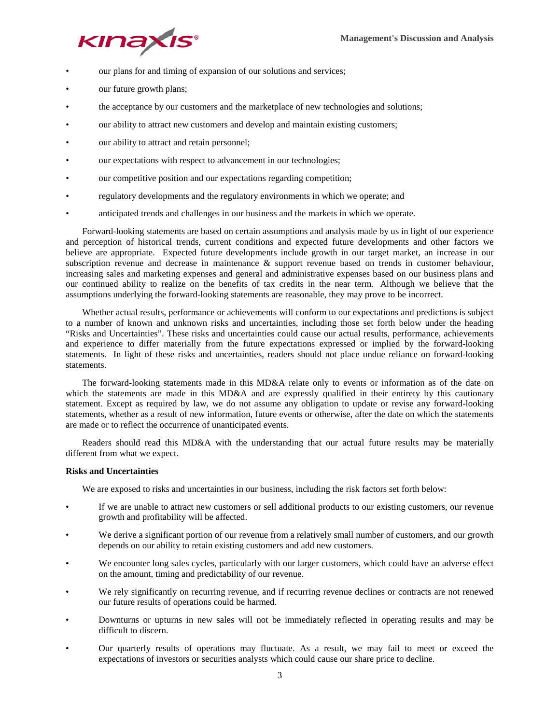

- our plans for and timing of expansion of our solutions and services;
- our future growth plans;
- the acceptance by our customers and the marketplace of new technologies and solutions;
- our ability to attract new customers and develop and maintain existing customers;
- our ability to attract and retain personnel;
- our expectations with respect to advancement in our technologies;
- our competitive position and our expectations regarding competition;
- regulatory developments and the regulatory environments in which we operate; and
- anticipated trends and challenges in our business and the markets in which we operate.

Forward-looking statements are based on certain assumptions and analysis made by us in light of our experience and perception of historical trends, current conditions and expected future developments and other factors we believe are appropriate. Expected future developments include growth in our target market, an increase in our subscription revenue and decrease in maintenance & support revenue based on trends in customer behaviour, increasing sales and marketing expenses and general and administrative expenses based on our business plans and our continued ability to realize on the benefits of tax credits in the near term. Although we believe that the assumptions underlying the forward-looking statements are reasonable, they may prove to be incorrect.

Whether actual results, performance or achievements will conform to our expectations and predictions is subject to a number of known and unknown risks and uncertainties, including those set forth below under the heading "Risks and Uncertainties". These risks and uncertainties could cause our actual results, performance, achievements and experience to differ materially from the future expectations expressed or implied by the forward-looking statements. In light of these risks and uncertainties, readers should not place undue reliance on forward-looking statements.

The forward-looking statements made in this MD&A relate only to events or information as of the date on which the statements are made in this MD&A and are expressly qualified in their entirety by this cautionary statement. Except as required by law, we do not assume any obligation to update or revise any forward-looking statements, whether as a result of new information, future events or otherwise, after the date on which the statements are made or to reflect the occurrence of unanticipated events.

Readers should read this MD&A with the understanding that our actual future results may be materially different from what we expect.

# **Risks and Uncertainties**

We are exposed to risks and uncertainties in our business, including the risk factors set forth below:

- If we are unable to attract new customers or sell additional products to our existing customers, our revenue growth and profitability will be affected.
- We derive a significant portion of our revenue from a relatively small number of customers, and our growth depends on our ability to retain existing customers and add new customers.
- We encounter long sales cycles, particularly with our larger customers, which could have an adverse effect on the amount, timing and predictability of our revenue.
- We rely significantly on recurring revenue, and if recurring revenue declines or contracts are not renewed our future results of operations could be harmed.
- Downturns or upturns in new sales will not be immediately reflected in operating results and may be difficult to discern.
- Our quarterly results of operations may fluctuate. As a result, we may fail to meet or exceed the expectations of investors or securities analysts which could cause our share price to decline.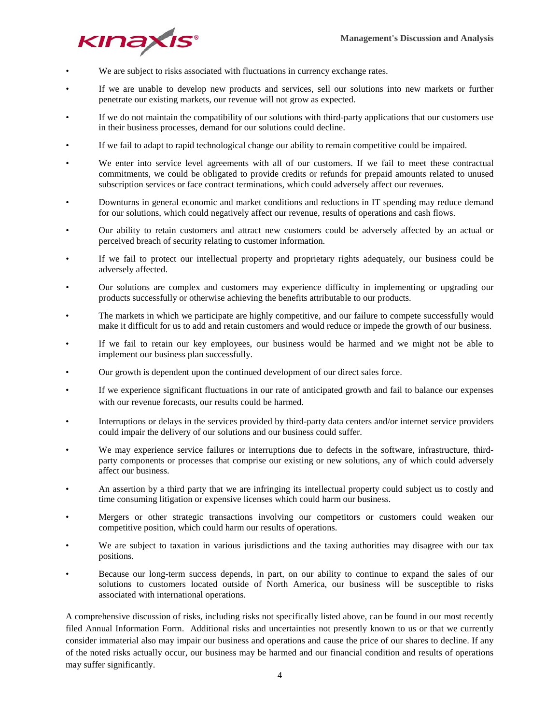

- We are subject to risks associated with fluctuations in currency exchange rates.
- If we are unable to develop new products and services, sell our solutions into new markets or further penetrate our existing markets, our revenue will not grow as expected.
- If we do not maintain the compatibility of our solutions with third-party applications that our customers use in their business processes, demand for our solutions could decline.
- If we fail to adapt to rapid technological change our ability to remain competitive could be impaired.
- We enter into service level agreements with all of our customers. If we fail to meet these contractual commitments, we could be obligated to provide credits or refunds for prepaid amounts related to unused subscription services or face contract terminations, which could adversely affect our revenues.
- Downturns in general economic and market conditions and reductions in IT spending may reduce demand for our solutions, which could negatively affect our revenue, results of operations and cash flows.
- Our ability to retain customers and attract new customers could be adversely affected by an actual or perceived breach of security relating to customer information.
- If we fail to protect our intellectual property and proprietary rights adequately, our business could be adversely affected.
- Our solutions are complex and customers may experience difficulty in implementing or upgrading our products successfully or otherwise achieving the benefits attributable to our products.
- The markets in which we participate are highly competitive, and our failure to compete successfully would make it difficult for us to add and retain customers and would reduce or impede the growth of our business.
- If we fail to retain our key employees, our business would be harmed and we might not be able to implement our business plan successfully.
- Our growth is dependent upon the continued development of our direct sales force.
- If we experience significant fluctuations in our rate of anticipated growth and fail to balance our expenses with our revenue forecasts, our results could be harmed.
- Interruptions or delays in the services provided by third-party data centers and/or internet service providers could impair the delivery of our solutions and our business could suffer.
- We may experience service failures or interruptions due to defects in the software, infrastructure, thirdparty components or processes that comprise our existing or new solutions, any of which could adversely affect our business.
- An assertion by a third party that we are infringing its intellectual property could subject us to costly and time consuming litigation or expensive licenses which could harm our business.
- Mergers or other strategic transactions involving our competitors or customers could weaken our competitive position, which could harm our results of operations.
- We are subject to taxation in various jurisdictions and the taxing authorities may disagree with our tax positions.
- Because our long-term success depends, in part, on our ability to continue to expand the sales of our solutions to customers located outside of North America, our business will be susceptible to risks associated with international operations.

A comprehensive discussion of risks, including risks not specifically listed above, can be found in our most recently filed Annual Information Form. Additional risks and uncertainties not presently known to us or that we currently consider immaterial also may impair our business and operations and cause the price of our shares to decline. If any of the noted risks actually occur, our business may be harmed and our financial condition and results of operations may suffer significantly.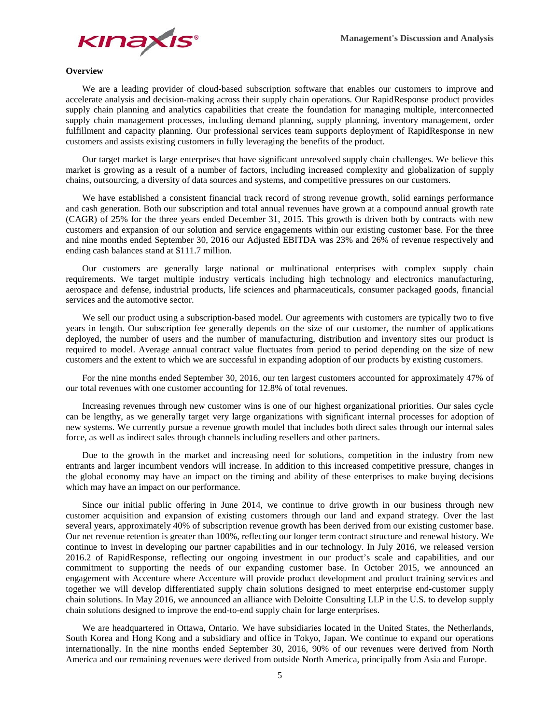

## **Overview**

We are a leading provider of cloud-based subscription software that enables our customers to improve and accelerate analysis and decision-making across their supply chain operations. Our RapidResponse product provides supply chain planning and analytics capabilities that create the foundation for managing multiple, interconnected supply chain management processes, including demand planning, supply planning, inventory management, order fulfillment and capacity planning. Our professional services team supports deployment of RapidResponse in new customers and assists existing customers in fully leveraging the benefits of the product.

Our target market is large enterprises that have significant unresolved supply chain challenges. We believe this market is growing as a result of a number of factors, including increased complexity and globalization of supply chains, outsourcing, a diversity of data sources and systems, and competitive pressures on our customers.

We have established a consistent financial track record of strong revenue growth, solid earnings performance and cash generation. Both our subscription and total annual revenues have grown at a compound annual growth rate (CAGR) of 25% for the three years ended December 31, 2015. This growth is driven both by contracts with new customers and expansion of our solution and service engagements within our existing customer base. For the three and nine months ended September 30, 2016 our Adjusted EBITDA was 23% and 26% of revenue respectively and ending cash balances stand at \$111.7 million.

Our customers are generally large national or multinational enterprises with complex supply chain requirements. We target multiple industry verticals including high technology and electronics manufacturing, aerospace and defense, industrial products, life sciences and pharmaceuticals, consumer packaged goods, financial services and the automotive sector.

We sell our product using a subscription-based model. Our agreements with customers are typically two to five years in length. Our subscription fee generally depends on the size of our customer, the number of applications deployed, the number of users and the number of manufacturing, distribution and inventory sites our product is required to model. Average annual contract value fluctuates from period to period depending on the size of new customers and the extent to which we are successful in expanding adoption of our products by existing customers.

For the nine months ended September 30, 2016, our ten largest customers accounted for approximately 47% of our total revenues with one customer accounting for 12.8% of total revenues.

Increasing revenues through new customer wins is one of our highest organizational priorities. Our sales cycle can be lengthy, as we generally target very large organizations with significant internal processes for adoption of new systems. We currently pursue a revenue growth model that includes both direct sales through our internal sales force, as well as indirect sales through channels including resellers and other partners.

Due to the growth in the market and increasing need for solutions, competition in the industry from new entrants and larger incumbent vendors will increase. In addition to this increased competitive pressure, changes in the global economy may have an impact on the timing and ability of these enterprises to make buying decisions which may have an impact on our performance.

Since our initial public offering in June 2014, we continue to drive growth in our business through new customer acquisition and expansion of existing customers through our land and expand strategy. Over the last several years, approximately 40% of subscription revenue growth has been derived from our existing customer base. Our net revenue retention is greater than 100%, reflecting our longer term contract structure and renewal history. We continue to invest in developing our partner capabilities and in our technology. In July 2016, we released version 2016.2 of RapidResponse, reflecting our ongoing investment in our product's scale and capabilities, and our commitment to supporting the needs of our expanding customer base. In October 2015, we announced an engagement with Accenture where Accenture will provide product development and product training services and together we will develop differentiated supply chain solutions designed to meet enterprise end-customer supply chain solutions. In May 2016, we announced an alliance with Deloitte Consulting LLP in the U.S. to develop supply chain solutions designed to improve the end-to-end supply chain for large enterprises.

We are headquartered in Ottawa, Ontario. We have subsidiaries located in the United States, the Netherlands, South Korea and Hong Kong and a subsidiary and office in Tokyo, Japan. We continue to expand our operations internationally. In the nine months ended September 30, 2016, 90% of our revenues were derived from North America and our remaining revenues were derived from outside North America, principally from Asia and Europe.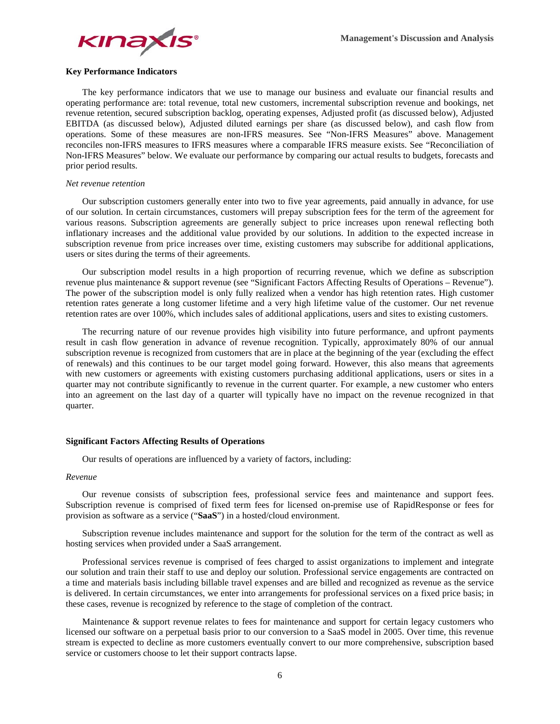

# **Key Performance Indicators**

The key performance indicators that we use to manage our business and evaluate our financial results and operating performance are: total revenue, total new customers, incremental subscription revenue and bookings, net revenue retention, secured subscription backlog, operating expenses, Adjusted profit (as discussed below), Adjusted EBITDA (as discussed below), Adjusted diluted earnings per share (as discussed below), and cash flow from operations. Some of these measures are non-IFRS measures. See "Non-IFRS Measures" above. Management reconciles non-IFRS measures to IFRS measures where a comparable IFRS measure exists. See "Reconciliation of Non-IFRS Measures" below. We evaluate our performance by comparing our actual results to budgets, forecasts and prior period results.

#### *Net revenue retention*

Our subscription customers generally enter into two to five year agreements, paid annually in advance, for use of our solution. In certain circumstances, customers will prepay subscription fees for the term of the agreement for various reasons. Subscription agreements are generally subject to price increases upon renewal reflecting both inflationary increases and the additional value provided by our solutions. In addition to the expected increase in subscription revenue from price increases over time, existing customers may subscribe for additional applications, users or sites during the terms of their agreements.

Our subscription model results in a high proportion of recurring revenue, which we define as subscription revenue plus maintenance & support revenue (see "Significant Factors Affecting Results of Operations – Revenue"). The power of the subscription model is only fully realized when a vendor has high retention rates. High customer retention rates generate a long customer lifetime and a very high lifetime value of the customer. Our net revenue retention rates are over 100%, which includes sales of additional applications, users and sites to existing customers.

The recurring nature of our revenue provides high visibility into future performance, and upfront payments result in cash flow generation in advance of revenue recognition. Typically, approximately 80% of our annual subscription revenue is recognized from customers that are in place at the beginning of the year (excluding the effect of renewals) and this continues to be our target model going forward. However, this also means that agreements with new customers or agreements with existing customers purchasing additional applications, users or sites in a quarter may not contribute significantly to revenue in the current quarter. For example, a new customer who enters into an agreement on the last day of a quarter will typically have no impact on the revenue recognized in that quarter.

#### **Significant Factors Affecting Results of Operations**

Our results of operations are influenced by a variety of factors, including:

#### *Revenue*

Our revenue consists of subscription fees, professional service fees and maintenance and support fees. Subscription revenue is comprised of fixed term fees for licensed on-premise use of RapidResponse or fees for provision as software as a service ("**SaaS**") in a hosted/cloud environment.

Subscription revenue includes maintenance and support for the solution for the term of the contract as well as hosting services when provided under a SaaS arrangement.

Professional services revenue is comprised of fees charged to assist organizations to implement and integrate our solution and train their staff to use and deploy our solution. Professional service engagements are contracted on a time and materials basis including billable travel expenses and are billed and recognized as revenue as the service is delivered. In certain circumstances, we enter into arrangements for professional services on a fixed price basis; in these cases, revenue is recognized by reference to the stage of completion of the contract.

Maintenance & support revenue relates to fees for maintenance and support for certain legacy customers who licensed our software on a perpetual basis prior to our conversion to a SaaS model in 2005. Over time, this revenue stream is expected to decline as more customers eventually convert to our more comprehensive, subscription based service or customers choose to let their support contracts lapse.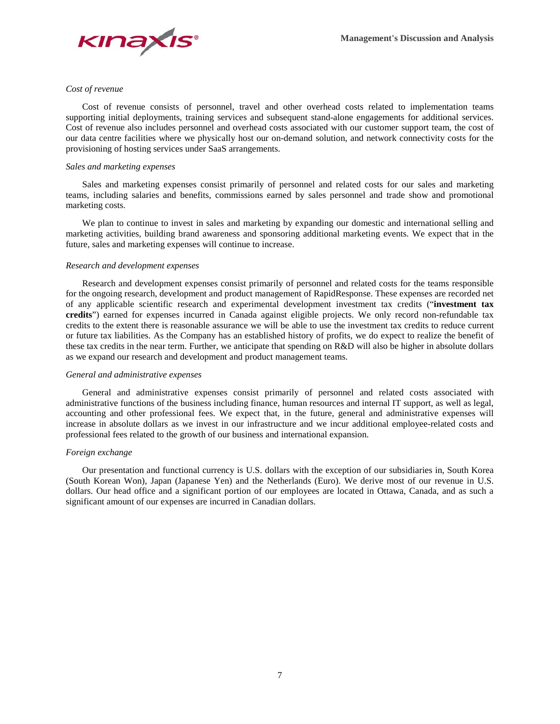

#### *Cost of revenue*

Cost of revenue consists of personnel, travel and other overhead costs related to implementation teams supporting initial deployments, training services and subsequent stand-alone engagements for additional services. Cost of revenue also includes personnel and overhead costs associated with our customer support team, the cost of our data centre facilities where we physically host our on-demand solution, and network connectivity costs for the provisioning of hosting services under SaaS arrangements.

## *Sales and marketing expenses*

Sales and marketing expenses consist primarily of personnel and related costs for our sales and marketing teams, including salaries and benefits, commissions earned by sales personnel and trade show and promotional marketing costs.

We plan to continue to invest in sales and marketing by expanding our domestic and international selling and marketing activities, building brand awareness and sponsoring additional marketing events. We expect that in the future, sales and marketing expenses will continue to increase.

## *Research and development expenses*

Research and development expenses consist primarily of personnel and related costs for the teams responsible for the ongoing research, development and product management of RapidResponse. These expenses are recorded net of any applicable scientific research and experimental development investment tax credits ("**investment tax credits**") earned for expenses incurred in Canada against eligible projects. We only record non-refundable tax credits to the extent there is reasonable assurance we will be able to use the investment tax credits to reduce current or future tax liabilities. As the Company has an established history of profits, we do expect to realize the benefit of these tax credits in the near term. Further, we anticipate that spending on R&D will also be higher in absolute dollars as we expand our research and development and product management teams.

# *General and administrative expenses*

General and administrative expenses consist primarily of personnel and related costs associated with administrative functions of the business including finance, human resources and internal IT support, as well as legal, accounting and other professional fees. We expect that, in the future, general and administrative expenses will increase in absolute dollars as we invest in our infrastructure and we incur additional employee-related costs and professional fees related to the growth of our business and international expansion.

# *Foreign exchange*

Our presentation and functional currency is U.S. dollars with the exception of our subsidiaries in, South Korea (South Korean Won), Japan (Japanese Yen) and the Netherlands (Euro). We derive most of our revenue in U.S. dollars. Our head office and a significant portion of our employees are located in Ottawa, Canada, and as such a significant amount of our expenses are incurred in Canadian dollars.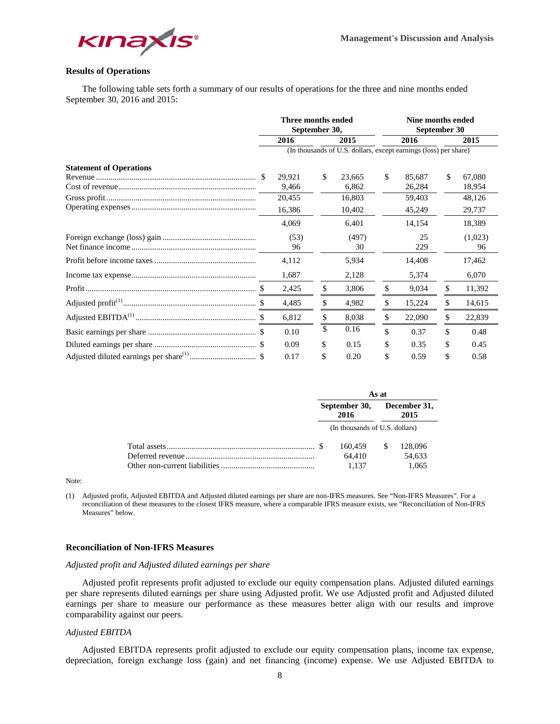

# **Results of Operations**

The following table sets forth a summary of our results of operations for the three and nine months ended September 30, 2016 and 2015:

|                                | Three months ended | September 30, |                                                                  |    |        | Nine months ended<br>September 30 |         |
|--------------------------------|--------------------|---------------|------------------------------------------------------------------|----|--------|-----------------------------------|---------|
|                                | 2016               |               | 2015                                                             |    | 2016   |                                   | 2015    |
|                                |                    |               | (In thousands of U.S. dollars, except earnings (loss) per share) |    |        |                                   |         |
| <b>Statement of Operations</b> |                    |               |                                                                  |    |        |                                   |         |
|                                | 29,921             | \$            | 23,665                                                           | \$ | 85,687 | \$                                | 67,080  |
|                                | 9,466              |               | 6,862                                                            |    | 26,284 |                                   | 18,954  |
|                                | 20,455             |               | 16,803                                                           |    | 59,403 |                                   | 48,126  |
|                                | 16,386             |               | 10,402                                                           |    | 45,249 |                                   | 29,737  |
|                                | 4,069              |               | 6,401                                                            |    | 14,154 |                                   | 18,389  |
|                                | (53)               |               | (497)                                                            |    | 25     |                                   | (1,023) |
|                                | 96                 |               | 30                                                               |    | 229    |                                   | 96      |
|                                | 4,112              |               | 5,934                                                            |    | 14,408 |                                   | 17,462  |
|                                | 1,687              |               | 2,128                                                            |    | 5,374  |                                   | 6,070   |
|                                | 2,425              | \$            | 3,806                                                            | \$ | 9,034  | \$                                | 11,392  |
|                                | 4,485              | \$            | 4,982                                                            | \$ | 15,224 | \$                                | 14,615  |
|                                | 6,812              | \$            | 8,038                                                            | \$ | 22,090 | \$                                | 22,839  |
|                                | 0.10               | \$            | 0.16                                                             | \$ | 0.37   | \$                                | 0.48    |
|                                | 0.09               | \$            | 0.15                                                             | S  | 0.35   | \$                                | 0.45    |
|                                | 0.17               | \$            | 0.20                                                             | \$ | 0.59   | \$                                | 0.58    |

|  | As at<br>December 31,<br>2016<br>(In thousands of U.S. dollars)<br>160.459<br>\$. |  |         |  |  |
|--|-----------------------------------------------------------------------------------|--|---------|--|--|
|  | September 30,<br>64.410<br>1.137                                                  |  | 2015    |  |  |
|  |                                                                                   |  |         |  |  |
|  |                                                                                   |  | 128,096 |  |  |
|  |                                                                                   |  | 54,633  |  |  |
|  |                                                                                   |  | 1.065   |  |  |

Note:

(1) Adjusted profit, Adjusted EBITDA and Adjusted diluted earnings per share are non-IFRS measures. See "Non-IFRS Measures". For a reconciliation of these measures to the closest IFRS measure, where a comparable IFRS measure exists, see "Reconciliation of Non-IFRS Measures" below.

# **Reconciliation of Non-IFRS Measures**

#### *Adjusted profit and Adjusted diluted earnings per share*

Adjusted profit represents profit adjusted to exclude our equity compensation plans. Adjusted diluted earnings per share represents diluted earnings per share using Adjusted profit. We use Adjusted profit and Adjusted diluted earnings per share to measure our performance as these measures better align with our results and improve comparability against our peers.

# *Adjusted EBITDA*

Adjusted EBITDA represents profit adjusted to exclude our equity compensation plans, income tax expense, depreciation, foreign exchange loss (gain) and net financing (income) expense. We use Adjusted EBITDA to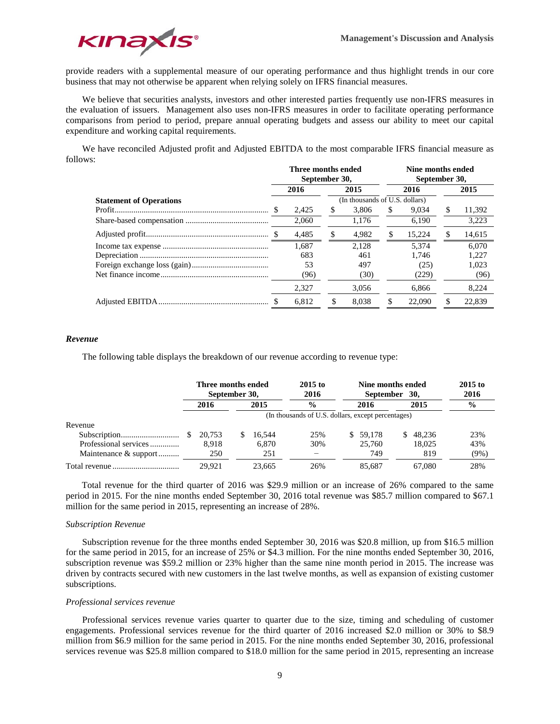

provide readers with a supplemental measure of our operating performance and thus highlight trends in our core business that may not otherwise be apparent when relying solely on IFRS financial measures.

We believe that securities analysts, investors and other interested parties frequently use non-IFRS measures in the evaluation of issuers. Management also uses non-IFRS measures in order to facilitate operating performance comparisons from period to period, prepare annual operating budgets and assess our ability to meet our capital expenditure and working capital requirements.

We have reconciled Adjusted profit and Adjusted EBITDA to the most comparable IFRS financial measure as follows:

|                                | Three months ended<br>September 30, |                                |       |     |        | Nine months ended<br>September 30, |        |  |
|--------------------------------|-------------------------------------|--------------------------------|-------|-----|--------|------------------------------------|--------|--|
|                                | 2016                                |                                | 2015  |     | 2016   |                                    | 2015   |  |
| <b>Statement of Operations</b> |                                     | (In thousands of U.S. dollars) |       |     |        |                                    |        |  |
|                                | 2.425                               | S                              | 3.806 | \$. | 9.034  | \$                                 | 11,392 |  |
|                                | 2,060                               |                                | 1.176 |     | 6.190  |                                    | 3,223  |  |
|                                | 4,485                               | \$                             | 4.982 | \$. | 15.224 | \$                                 | 14,615 |  |
|                                | 1.687                               |                                | 2.128 |     | 5.374  |                                    | 6.070  |  |
|                                | 683                                 |                                | 461   |     | 1.746  |                                    | 1.227  |  |
|                                | 53                                  |                                | 497   |     | (25)   |                                    | 1.023  |  |
|                                | (96)                                |                                | (30)  |     | (229)  |                                    | (96)   |  |
|                                | 2.327                               |                                | 3,056 |     | 6.866  |                                    | 8,224  |  |
|                                | 6.812                               | S                              | 8.038 |     | 22,090 | \$                                 | 22.839 |  |

#### *Revenue*

The following table displays the breakdown of our revenue according to revenue type:

|                       | Three months ended<br>September 30, |                                                    |        | $2015$ to<br>2016 |  | Nine months ended<br>September 30, |    |        | $2015$ to<br>2016 |
|-----------------------|-------------------------------------|----------------------------------------------------|--------|-------------------|--|------------------------------------|----|--------|-------------------|
|                       | 2016                                |                                                    | 2015   | $\frac{0}{0}$     |  | 2016<br>2015                       |    |        | $\frac{0}{0}$     |
|                       |                                     | (In thousands of U.S. dollars, except percentages) |        |                   |  |                                    |    |        |                   |
| Revenue               |                                     |                                                    |        |                   |  |                                    |    |        |                   |
|                       | 20.753                              |                                                    | 16.544 | 25%               |  | \$ 59.178                          | S. | 48.236 | 23%               |
| Professional services | 8.918                               |                                                    | 6.870  | 30%               |  | 25,760                             |    | 18,025 | 43%               |
| Maintenance & support | 250                                 |                                                    | 251    |                   |  | 749                                |    | 819    | $(9\%)$           |
|                       | 29.921                              |                                                    | 23.665 | 26%               |  | 85.687                             |    | 67.080 | 28%               |

 Total revenue for the third quarter of 2016 was \$29.9 million or an increase of 26% compared to the same period in 2015. For the nine months ended September 30, 2016 total revenue was \$85.7 million compared to \$67.1 million for the same period in 2015, representing an increase of 28%.

#### *Subscription Revenue*

Subscription revenue for the three months ended September 30, 2016 was \$20.8 million, up from \$16.5 million for the same period in 2015, for an increase of 25% or \$4.3 million. For the nine months ended September 30, 2016, subscription revenue was \$59.2 million or 23% higher than the same nine month period in 2015. The increase was driven by contracts secured with new customers in the last twelve months, as well as expansion of existing customer subscriptions.

#### *Professional services revenue*

Professional services revenue varies quarter to quarter due to the size, timing and scheduling of customer engagements. Professional services revenue for the third quarter of 2016 increased \$2.0 million or 30% to \$8.9 million from \$6.9 million for the same period in 2015. For the nine months ended September 30, 2016, professional services revenue was \$25.8 million compared to \$18.0 million for the same period in 2015, representing an increase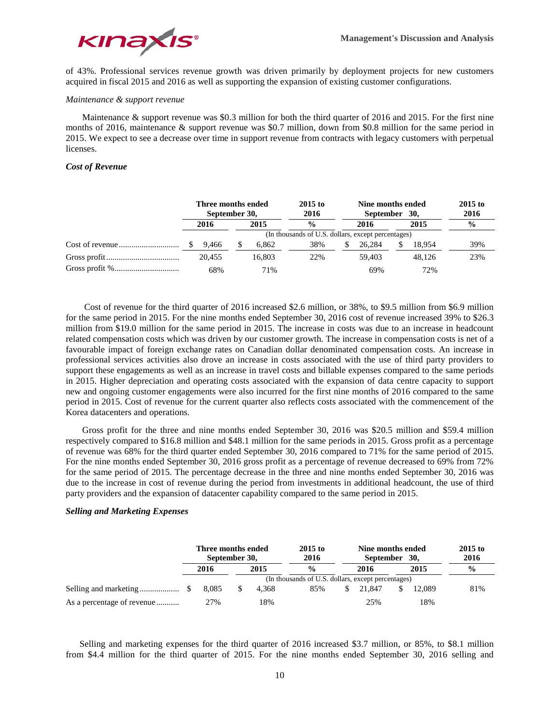

of 43%. Professional services revenue growth was driven primarily by deployment projects for new customers acquired in fiscal 2015 and 2016 as well as supporting the expansion of existing customer configurations.

#### *Maintenance & support revenue*

Maintenance & support revenue was \$0.3 million for both the third quarter of 2016 and 2015. For the first nine months of 2016, maintenance & support revenue was \$0.7 million, down from \$0.8 million for the same period in 2015. We expect to see a decrease over time in support revenue from contracts with legacy customers with perpetual licenses.

# *Cost of Revenue*

| Three months ended<br>September 30, |  |               | $2015$ to<br>2016                                  | Nine months ended<br>September 30, |        |      |               |     |
|-------------------------------------|--|---------------|----------------------------------------------------|------------------------------------|--------|------|---------------|-----|
| 2016<br>2015                        |  | $\frac{0}{0}$ |                                                    | 2016                               |        | 2015 | $\frac{0}{0}$ |     |
|                                     |  |               | (In thousands of U.S. dollars, except percentages) |                                    |        |      |               |     |
| 9.466                               |  | 6.862         | 38%                                                |                                    | 26.284 | S.   | 18.954        | 39% |
| 20.455                              |  | 16.803        | 22%                                                |                                    | 59.403 |      | 48.126        | 23% |
| 68%                                 |  | 71%           |                                                    |                                    | 69%    |      | 72%           |     |

 Cost of revenue for the third quarter of 2016 increased \$2.6 million, or 38%, to \$9.5 million from \$6.9 million for the same period in 2015. For the nine months ended September 30, 2016 cost of revenue increased 39% to \$26.3 million from \$19.0 million for the same period in 2015. The increase in costs was due to an increase in headcount related compensation costs which was driven by our customer growth. The increase in compensation costs is net of a favourable impact of foreign exchange rates on Canadian dollar denominated compensation costs. An increase in professional services activities also drove an increase in costs associated with the use of third party providers to support these engagements as well as an increase in travel costs and billable expenses compared to the same periods in 2015. Higher depreciation and operating costs associated with the expansion of data centre capacity to support new and ongoing customer engagements were also incurred for the first nine months of 2016 compared to the same period in 2015. Cost of revenue for the current quarter also reflects costs associated with the commencement of the Korea datacenters and operations.

Gross profit for the three and nine months ended September 30, 2016 was \$20.5 million and \$59.4 million respectively compared to \$16.8 million and \$48.1 million for the same periods in 2015. Gross profit as a percentage of revenue was 68% for the third quarter ended September 30, 2016 compared to 71% for the same period of 2015. For the nine months ended September 30, 2016 gross profit as a percentage of revenue decreased to 69% from 72% for the same period of 2015. The percentage decrease in the three and nine months ended September 30, 2016 was due to the increase in cost of revenue during the period from investments in additional headcount, the use of third party providers and the expansion of datacenter capability compared to the same period in 2015.

## *Selling and Marketing Expenses*

|                            |       | Three months ended<br>September 30, |       | $2015$ to<br>2016                                  | Nine months ended<br>September 30, |        |  |        | $2015$ to<br>2016 |
|----------------------------|-------|-------------------------------------|-------|----------------------------------------------------|------------------------------------|--------|--|--------|-------------------|
|                            | 2016  |                                     | 2015  | $\frac{0}{0}$                                      |                                    | 2016   |  | 2015   | $\frac{0}{0}$     |
|                            |       |                                     |       | (In thousands of U.S. dollars, except percentages) |                                    |        |  |        |                   |
|                            | 8.085 |                                     | 4.368 | 85%                                                |                                    | 21.847 |  | 12.089 | 81%               |
| As a percentage of revenue | 27%   |                                     | 18%   |                                                    |                                    | 25%    |  | 18%    |                   |

 Selling and marketing expenses for the third quarter of 2016 increased \$3.7 million, or 85%, to \$8.1 million from \$4.4 million for the third quarter of 2015. For the nine months ended September 30, 2016 selling and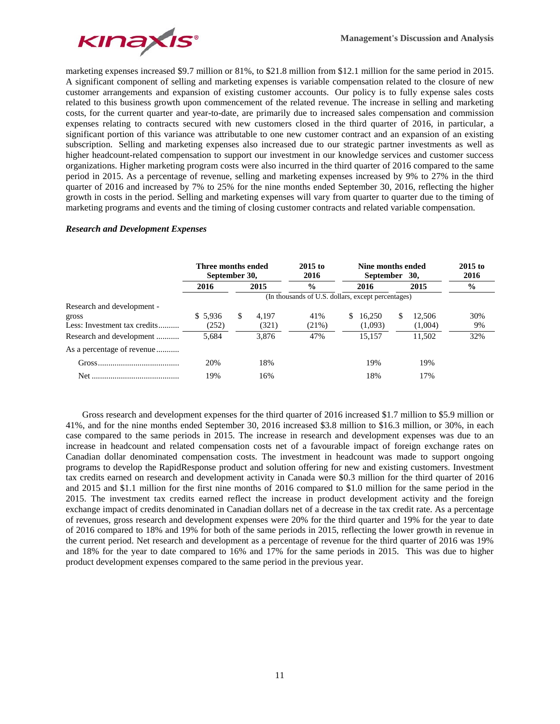

marketing expenses increased \$9.7 million or 81%, to \$21.8 million from \$12.1 million for the same period in 2015. A significant component of selling and marketing expenses is variable compensation related to the closure of new customer arrangements and expansion of existing customer accounts. Our policy is to fully expense sales costs related to this business growth upon commencement of the related revenue. The increase in selling and marketing costs, for the current quarter and year-to-date, are primarily due to increased sales compensation and commission expenses relating to contracts secured with new customers closed in the third quarter of 2016, in particular, a significant portion of this variance was attributable to one new customer contract and an expansion of an existing subscription. Selling and marketing expenses also increased due to our strategic partner investments as well as higher headcount-related compensation to support our investment in our knowledge services and customer success organizations. Higher marketing program costs were also incurred in the third quarter of 2016 compared to the same period in 2015. As a percentage of revenue, selling and marketing expenses increased by 9% to 27% in the third quarter of 2016 and increased by 7% to 25% for the nine months ended September 30, 2016, reflecting the higher growth in costs in the period. Selling and marketing expenses will vary from quarter to quarter due to the timing of marketing programs and events and the timing of closing customer contracts and related variable compensation.

# *Research and Development Expenses*

|                              | Three months ended<br>September 30, |                                                    |       | $2015$ to<br>2016 |    | Nine months ended<br>September 30, | $2015$ to<br>2016 |         |               |
|------------------------------|-------------------------------------|----------------------------------------------------|-------|-------------------|----|------------------------------------|-------------------|---------|---------------|
|                              | 2016                                | 2015                                               |       | $\frac{0}{0}$     |    | 2016                               |                   | 2015    | $\frac{0}{0}$ |
|                              |                                     | (In thousands of U.S. dollars, except percentages) |       |                   |    |                                    |                   |         |               |
| Research and development -   |                                     |                                                    |       |                   |    |                                    |                   |         |               |
| gross                        | \$5.936                             | \$                                                 | 4.197 | 41%               | S. | 16.250                             | \$                | 12.506  | 30%           |
| Less: Investment tax credits | (252)                               |                                                    | (321) | $(21\%)$          |    | (1,093)                            |                   | (1,004) | 9%            |
| Research and development     | 5,684                               |                                                    | 3.876 | 47%               |    | 15.157                             |                   | 11.502  | 32%           |
| As a percentage of revenue   |                                     |                                                    |       |                   |    |                                    |                   |         |               |
|                              | 20%                                 |                                                    | 18%   |                   |    | 19%                                |                   | 19%     |               |
| Net                          | 19%                                 |                                                    | 16%   |                   |    | 18%                                |                   | 17%     |               |

Gross research and development expenses for the third quarter of 2016 increased \$1.7 million to \$5.9 million or 41%, and for the nine months ended September 30, 2016 increased \$3.8 million to \$16.3 million, or 30%, in each case compared to the same periods in 2015. The increase in research and development expenses was due to an increase in headcount and related compensation costs net of a favourable impact of foreign exchange rates on Canadian dollar denominated compensation costs. The investment in headcount was made to support ongoing programs to develop the RapidResponse product and solution offering for new and existing customers. Investment tax credits earned on research and development activity in Canada were \$0.3 million for the third quarter of 2016 and 2015 and \$1.1 million for the first nine months of 2016 compared to \$1.0 million for the same period in the 2015. The investment tax credits earned reflect the increase in product development activity and the foreign exchange impact of credits denominated in Canadian dollars net of a decrease in the tax credit rate. As a percentage of revenues, gross research and development expenses were 20% for the third quarter and 19% for the year to date of 2016 compared to 18% and 19% for both of the same periods in 2015, reflecting the lower growth in revenue in the current period. Net research and development as a percentage of revenue for the third quarter of 2016 was 19% and 18% for the year to date compared to 16% and 17% for the same periods in 2015. This was due to higher product development expenses compared to the same period in the previous year.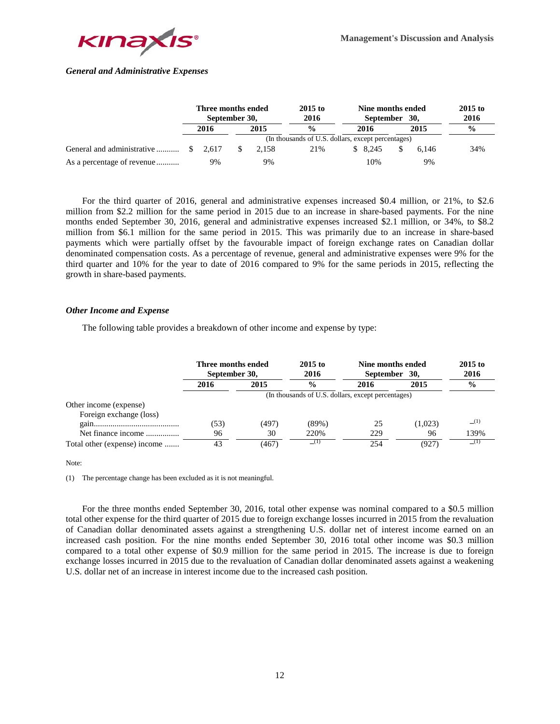

# *General and Administrative Expenses*

|                                      | Three months ended<br>September 30, |  | $2015$ to<br>2016 | Nine months ended<br>September 30,                 |  | $2015$ to<br>2016 |  |       |               |
|--------------------------------------|-------------------------------------|--|-------------------|----------------------------------------------------|--|-------------------|--|-------|---------------|
|                                      | 2016                                |  | 2015              | $\frac{0}{0}$                                      |  | 2016              |  | 2015  | $\frac{0}{0}$ |
|                                      |                                     |  |                   | (In thousands of U.S. dollars, except percentages) |  |                   |  |       |               |
| General and administrative  \$ 2.617 |                                     |  | 2.158             | 21%                                                |  | \$ 8.245          |  | 6.146 | 34%           |
| As a percentage of revenue           | 9%                                  |  | 9%                |                                                    |  | 10%               |  | 9%    |               |

For the third quarter of 2016, general and administrative expenses increased \$0.4 million, or 21%, to \$2.6 million from \$2.2 million for the same period in 2015 due to an increase in share-based payments. For the nine months ended September 30, 2016, general and administrative expenses increased \$2.1 million, or 34%, to \$8.2 million from \$6.1 million for the same period in 2015. This was primarily due to an increase in share-based payments which were partially offset by the favourable impact of foreign exchange rates on Canadian dollar denominated compensation costs. As a percentage of revenue, general and administrative expenses were 9% for the third quarter and 10% for the year to date of 2016 compared to 9% for the same periods in 2015, reflecting the growth in share-based payments.

# *Other Income and Expense*

The following table provides a breakdown of other income and expense by type:

|                              | Three months ended<br>September 30, |                                                    | $2015$ to<br>2016 | Nine months ended<br>September 30, | $2015$ to<br>2016 |               |  |  |  |
|------------------------------|-------------------------------------|----------------------------------------------------|-------------------|------------------------------------|-------------------|---------------|--|--|--|
|                              | 2016                                | $\frac{0}{0}$<br>2015                              |                   | 2016                               | 2015              | $\frac{0}{0}$ |  |  |  |
|                              |                                     | (In thousands of U.S. dollars, except percentages) |                   |                                    |                   |               |  |  |  |
| Other income (expense)       |                                     |                                                    |                   |                                    |                   |               |  |  |  |
| Foreign exchange (loss)      |                                     |                                                    |                   |                                    |                   |               |  |  |  |
|                              | (53)                                | (497)                                              | (89%)             | 25                                 | (1,023)           | (1)           |  |  |  |
| Net finance income           | 96                                  | 30                                                 | 220%              | 229                                | 96                | 139%          |  |  |  |
| Total other (expense) income | 43                                  | (467)                                              |                   | 254                                | (927)             | - (1)         |  |  |  |

#### Note:

(1) The percentage change has been excluded as it is not meaningful.

For the three months ended September 30, 2016, total other expense was nominal compared to a \$0.5 million total other expense for the third quarter of 2015 due to foreign exchange losses incurred in 2015 from the revaluation of Canadian dollar denominated assets against a strengthening U.S. dollar net of interest income earned on an increased cash position. For the nine months ended September 30, 2016 total other income was \$0.3 million compared to a total other expense of \$0.9 million for the same period in 2015. The increase is due to foreign exchange losses incurred in 2015 due to the revaluation of Canadian dollar denominated assets against a weakening U.S. dollar net of an increase in interest income due to the increased cash position.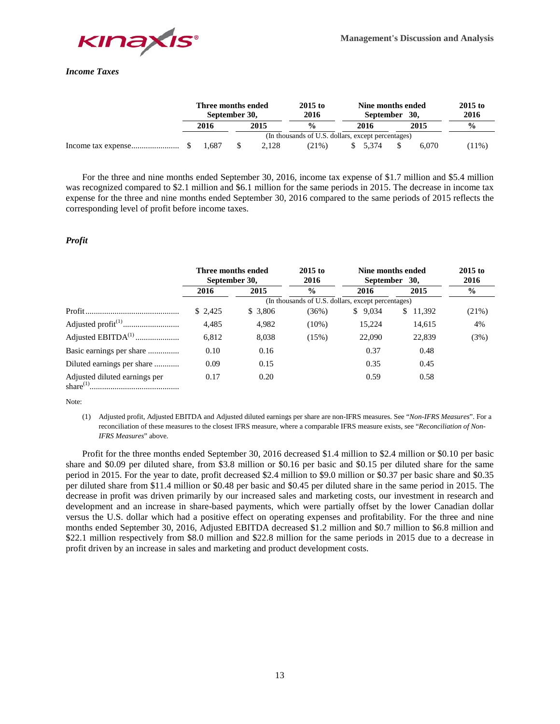

# *Income Taxes*

|  | Three months ended<br>September 30, |       | $2015$ to<br>2016                                  | Nine months ended<br>September 30, |       |  |       |               | $2015$ to<br>2016 |
|--|-------------------------------------|-------|----------------------------------------------------|------------------------------------|-------|--|-------|---------------|-------------------|
|  | 2016                                | 2015  | $\frac{0}{0}$                                      |                                    | 2016  |  | 2015  | $\frac{0}{0}$ |                   |
|  |                                     |       | (In thousands of U.S. dollars, except percentages) |                                    |       |  |       |               |                   |
|  | 1.687                               | 2.128 | $(21\%)$                                           |                                    | 5.374 |  | 6.070 | $(11\%)$      |                   |

For the three and nine months ended September 30, 2016, income tax expense of \$1.7 million and \$5.4 million was recognized compared to \$2.1 million and \$6.1 million for the same periods in 2015. The decrease in income tax expense for the three and nine months ended September 30, 2016 compared to the same periods of 2015 reflects the corresponding level of profit before income taxes.

# *Profit*

|                                                | Three months ended<br>September 30, |          | $2015$ to<br>2016                                  |             | Nine months ended<br>September 30, | $2015$ to<br>2016 |  |
|------------------------------------------------|-------------------------------------|----------|----------------------------------------------------|-------------|------------------------------------|-------------------|--|
|                                                | 2016                                | 2015     | $\frac{6}{6}$                                      | 2016        | 2015                               | $\frac{0}{0}$     |  |
|                                                |                                     |          | (In thousands of U.S. dollars, except percentages) |             |                                    |                   |  |
|                                                | \$2,425                             | \$ 3,806 | (36%)                                              | 9,034<br>S. | 11,392<br>S.                       | (21%)             |  |
|                                                | 4,485                               | 4,982    | $(10\%)$                                           | 15.224      | 14,615                             | 4%                |  |
|                                                | 6,812                               | 8,038    | (15%)                                              | 22,090      | 22,839                             | (3%)              |  |
| Basic earnings per share                       | 0.10                                | 0.16     |                                                    | 0.37        | 0.48                               |                   |  |
|                                                | 0.09                                | 0.15     |                                                    | 0.35        | 0.45                               |                   |  |
| Adjusted diluted earnings per<br>share $(1)$ . | 0.17                                | 0.20     |                                                    | 0.59        | 0.58                               |                   |  |

Note:

(1) Adjusted profit, Adjusted EBITDA and Adjusted diluted earnings per share are non-IFRS measures. See "*Non-IFRS Measures*". For a reconciliation of these measures to the closest IFRS measure, where a comparable IFRS measure exists, see "*Reconciliation of Non-IFRS Measures*" above.

Profit for the three months ended September 30, 2016 decreased \$1.4 million to \$2.4 million or \$0.10 per basic share and \$0.09 per diluted share, from \$3.8 million or \$0.16 per basic and \$0.15 per diluted share for the same period in 2015. For the year to date, profit decreased \$2.4 million to \$9.0 million or \$0.37 per basic share and \$0.35 per diluted share from \$11.4 million or \$0.48 per basic and \$0.45 per diluted share in the same period in 2015. The decrease in profit was driven primarily by our increased sales and marketing costs, our investment in research and development and an increase in share-based payments, which were partially offset by the lower Canadian dollar versus the U.S. dollar which had a positive effect on operating expenses and profitability. For the three and nine months ended September 30, 2016, Adjusted EBITDA decreased \$1.2 million and \$0.7 million to \$6.8 million and \$22.1 million respectively from \$8.0 million and \$22.8 million for the same periods in 2015 due to a decrease in profit driven by an increase in sales and marketing and product development costs.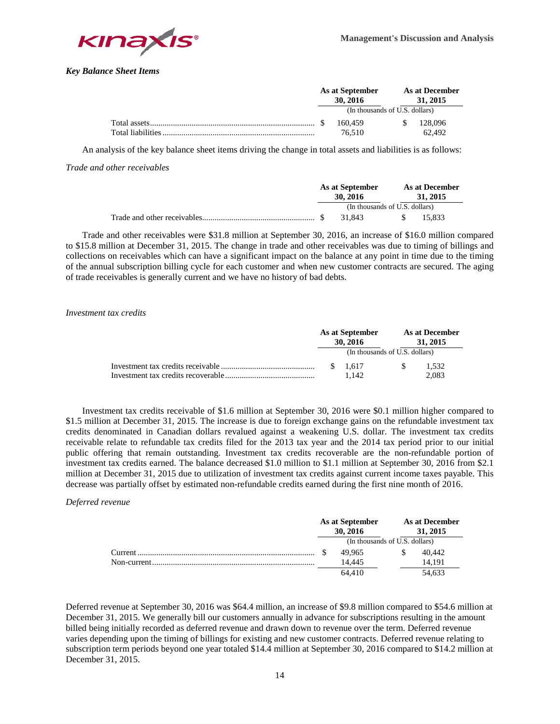

*Key Balance Sheet Items*

|                                | As at September<br>30.2016 |     | <b>As at December</b><br>31, 2015 |  |
|--------------------------------|----------------------------|-----|-----------------------------------|--|
| (In thousands of U.S. dollars) |                            |     |                                   |  |
|                                | 160.459                    | -SS | 128.096                           |  |
|                                | 76.510                     |     | 62.492                            |  |

An analysis of the key balance sheet items driving the change in total assets and liabilities is as follows:

## *Trade and other receivables*

| As at September<br>30, 2016    |        |  | As at December<br>31, 2015 |        |  |  |
|--------------------------------|--------|--|----------------------------|--------|--|--|
| (In thousands of U.S. dollars) |        |  |                            |        |  |  |
|                                | 31.843 |  |                            | 15.833 |  |  |

Trade and other receivables were \$31.8 million at September 30, 2016, an increase of \$16.0 million compared to \$15.8 million at December 31, 2015. The change in trade and other receivables was due to timing of billings and collections on receivables which can have a significant impact on the balance at any point in time due to the timing of the annual subscription billing cycle for each customer and when new customer contracts are secured. The aging of trade receivables is generally current and we have no history of bad debts.

## *Investment tax credits*

|  | As at September<br>30, 2016 |  | As at December<br>31, 2015<br>(In thousands of U.S. dollars) |  |  |
|--|-----------------------------|--|--------------------------------------------------------------|--|--|
|  |                             |  |                                                              |  |  |
|  | \$1.617                     |  | 1.532                                                        |  |  |
|  | 1.142                       |  | 2.083                                                        |  |  |

Investment tax credits receivable of \$1.6 million at September 30, 2016 were \$0.1 million higher compared to \$1.5 million at December 31, 2015. The increase is due to foreign exchange gains on the refundable investment tax credits denominated in Canadian dollars revalued against a weakening U.S. dollar. The investment tax credits receivable relate to refundable tax credits filed for the 2013 tax year and the 2014 tax period prior to our initial public offering that remain outstanding. Investment tax credits recoverable are the non-refundable portion of investment tax credits earned. The balance decreased \$1.0 million to \$1.1 million at September 30, 2016 from \$2.1 million at December 31, 2015 due to utilization of investment tax credits against current income taxes payable. This decrease was partially offset by estimated non-refundable credits earned during the first nine month of 2016.

# *Deferred revenue*

|          | As at September<br>30, 2016 | As at December<br>31, 2015     |        |  |  |
|----------|-----------------------------|--------------------------------|--------|--|--|
|          |                             | (In thousands of U.S. dollars) |        |  |  |
| Current. | 49.965                      |                                | 40.442 |  |  |
|          | 14.445                      |                                | 14.191 |  |  |
|          | 64.410                      |                                | 54.633 |  |  |

Deferred revenue at September 30, 2016 was \$64.4 million, an increase of \$9.8 million compared to \$54.6 million at December 31, 2015. We generally bill our customers annually in advance for subscriptions resulting in the amount billed being initially recorded as deferred revenue and drawn down to revenue over the term. Deferred revenue varies depending upon the timing of billings for existing and new customer contracts. Deferred revenue relating to subscription term periods beyond one year totaled \$14.4 million at September 30, 2016 compared to \$14.2 million at December 31, 2015.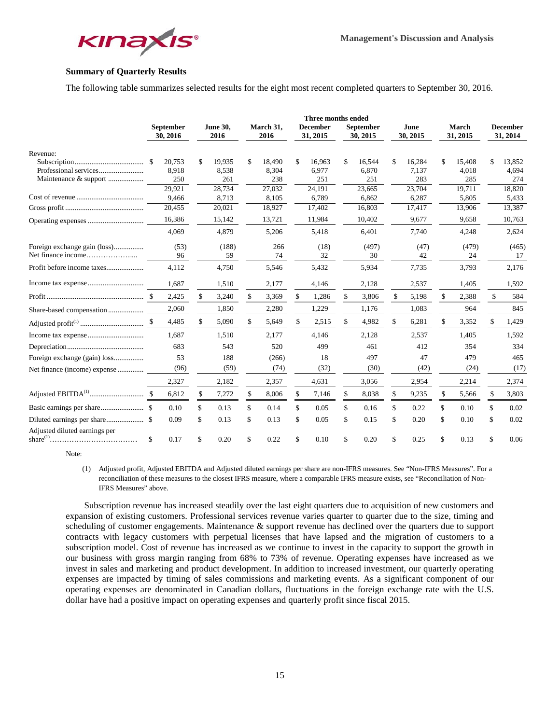

# **Summary of Quarterly Results**

The following table summarizes selected results for the eight most recent completed quarters to September 30, 2016.

|                               |     |                       |                         |                   | Three months ended          |                              |                  |              |                          |                             |
|-------------------------------|-----|-----------------------|-------------------------|-------------------|-----------------------------|------------------------------|------------------|--------------|--------------------------|-----------------------------|
|                               |     | September<br>30, 2016 | <b>June 30,</b><br>2016 | March 31,<br>2016 | <b>December</b><br>31, 2015 | <b>September</b><br>30, 2015 | June<br>30, 2015 |              | <b>March</b><br>31, 2015 | <b>December</b><br>31, 2014 |
| Revenue:                      |     |                       |                         |                   |                             |                              |                  |              |                          |                             |
|                               | -\$ | 20,753                | \$<br>19,935            | \$<br>18,490      | \$<br>16,963                | \$<br>16,544                 | \$<br>16,284     | \$           | 15,408                   | \$<br>13,852                |
|                               |     | 8,918                 | 8,538                   | 8,304             | 6,977                       | 6,870                        | 7.137            |              | 4,018                    | 4,694                       |
| Maintenance & support         |     | 250                   | 261                     | 238               | 251                         | 251                          | 283              |              | 285                      | 274                         |
|                               |     | 29,921                | 28,734                  | 27,032            | 24,191                      | 23,665                       | 23,704           |              | 19,711                   | 18,820                      |
|                               |     | 9,466                 | 8,713                   | 8,105             | 6,789                       | 6,862                        | 6,287            |              | 5,805                    | 5,433                       |
|                               |     | 20,455                | 20,021                  | 18,927            | 17,402                      | 16,803                       | 17,417           |              | 13,906                   | 13,387                      |
|                               |     | 16,386                | 15,142                  | 13,721            | 11,984                      | 10,402                       | 9,677            |              | 9,658                    | 10,763                      |
|                               |     | 4.069                 | 4,879                   | 5,206             | 5,418                       | 6,401                        | 7,740            |              | 4,248                    | 2,624                       |
| Foreign exchange gain (loss)  |     | (53)                  | (188)                   | 266               | (18)                        | (497)                        | (47)             |              | (479)                    | (465)                       |
|                               |     | 96                    | 59                      | 74                | 32                          | 30                           | 42               |              | 24                       | 17                          |
| Profit before income taxes    |     | 4,112                 | 4,750                   | 5,546             | 5,432                       | 5,934                        | 7,735            |              | 3,793                    | 2,176                       |
|                               |     | 1,687                 | 1,510                   | 2,177             | 4,146                       | 2,128                        | 2,537            |              | 1,405                    | 1,592                       |
|                               |     | 2,425                 | \$<br>3,240             | \$<br>3,369       | \$<br>1,286                 | \$<br>3,806                  | \$<br>5,198      | $\mathbf{s}$ | 2,388                    | \$<br>584                   |
|                               |     | 2,060                 | 1,850                   | 2,280             | 1,229                       | 1,176                        | 1,083            |              | 964                      | 845                         |
|                               |     | 4,485                 | \$<br>5,090             | \$<br>5,649       | \$<br>2,515                 | \$<br>4,982                  | \$<br>6,281      | \$           | 3,352                    | \$<br>1,429                 |
|                               |     | 1.687                 | 1,510                   | 2,177             | 4,146                       | 2,128                        | 2,537            |              | 1,405                    | 1,592                       |
|                               |     | 683                   | 543                     | 520               | 499                         | 461                          | 412              |              | 354                      | 334                         |
|                               |     | 53                    | 188                     | (266)             | 18                          | 497                          | 47               |              | 479                      | 465                         |
| Net finance (income) expense  |     | (96)                  | (59)                    | (74)              | (32)                        | (30)                         | (42)             |              | (24)                     | (17)                        |
|                               |     | 2,327                 | 2,182                   | 2,357             | 4,631                       | 3,056                        | 2,954            |              | 2,214                    | 2,374                       |
|                               |     | 6,812                 | \$<br>7,272             | \$<br>8,006       | \$<br>7,146                 | \$<br>8,038                  | \$<br>9,235      | \$           | 5,566                    | \$<br>3,803                 |
|                               |     | 0.10                  | \$<br>0.13              | \$<br>0.14        | \$<br>0.05                  | \$<br>0.16                   | \$<br>0.22       | \$           | 0.10                     | \$<br>0.02                  |
|                               |     | 0.09                  | \$<br>0.13              | \$<br>0.13        | \$<br>0.05                  | \$<br>0.15                   | \$<br>0.20       | \$           | 0.10                     | \$<br>0.02                  |
| Adjusted diluted earnings per | \$  | 0.17                  | \$<br>0.20              | \$<br>0.22        | \$<br>0.10                  | \$<br>0.20                   | \$<br>0.25       | \$           | 0.13                     | \$<br>0.06                  |

Note:

(1) Adjusted profit, Adjusted EBITDA and Adjusted diluted earnings per share are non-IFRS measures. See "Non-IFRS Measures". For a reconciliation of these measures to the closest IFRS measure, where a comparable IFRS measure exists, see "Reconciliation of Non-IFRS Measures" above.

 Subscription revenue has increased steadily over the last eight quarters due to acquisition of new customers and expansion of existing customers. Professional services revenue varies quarter to quarter due to the size, timing and scheduling of customer engagements. Maintenance & support revenue has declined over the quarters due to support contracts with legacy customers with perpetual licenses that have lapsed and the migration of customers to a subscription model. Cost of revenue has increased as we continue to invest in the capacity to support the growth in our business with gross margin ranging from 68% to 73% of revenue. Operating expenses have increased as we invest in sales and marketing and product development. In addition to increased investment, our quarterly operating expenses are impacted by timing of sales commissions and marketing events. As a significant component of our operating expenses are denominated in Canadian dollars, fluctuations in the foreign exchange rate with the U.S. dollar have had a positive impact on operating expenses and quarterly profit since fiscal 2015.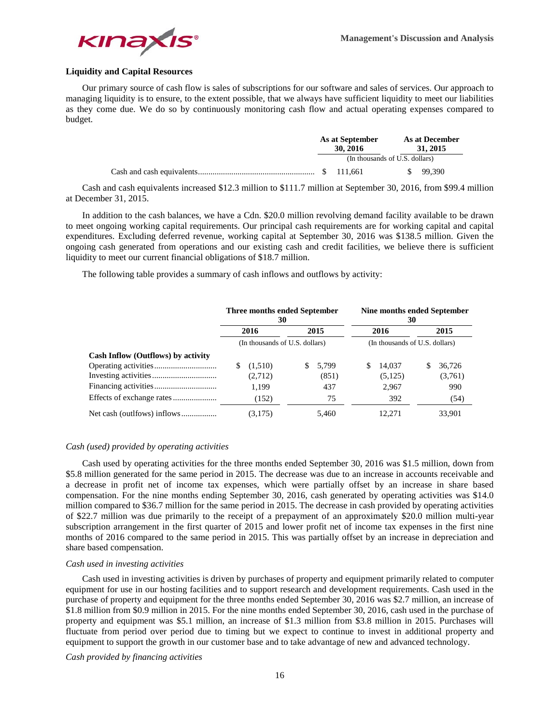

# **Liquidity and Capital Resources**

Our primary source of cash flow is sales of subscriptions for our software and sales of services. Our approach to managing liquidity is to ensure, to the extent possible, that we always have sufficient liquidity to meet our liabilities as they come due. We do so by continuously monitoring cash flow and actual operating expenses compared to budget.

| As at September                |            | As at December<br>31, 2015 |  |                      |  |
|--------------------------------|------------|----------------------------|--|----------------------|--|
| (In thousands of U.S. dollars) |            |                            |  |                      |  |
|                                | \$ 111.661 |                            |  | $\frac{1}{2}$ 99.390 |  |

Cash and cash equivalents increased \$12.3 million to \$111.7 million at September 30, 2016, from \$99.4 million at December 31, 2015.

In addition to the cash balances, we have a Cdn. \$20.0 million revolving demand facility available to be drawn to meet ongoing working capital requirements. Our principal cash requirements are for working capital and capital expenditures. Excluding deferred revenue, working capital at September 30, 2016 was \$138.5 million. Given the ongoing cash generated from operations and our existing cash and credit facilities, we believe there is sufficient liquidity to meet our current financial obligations of \$18.7 million.

The following table provides a summary of cash inflows and outflows by activity:

|                                    | Three months ended September<br>30 |                     | Nine months ended September<br>30 |                   |  |  |  |  |
|------------------------------------|------------------------------------|---------------------|-----------------------------------|-------------------|--|--|--|--|
|                                    | 2016                               | 2015                | 2016                              | 2015              |  |  |  |  |
|                                    | (In thousands of U.S. dollars)     |                     | (In thousands of U.S. dollars)    |                   |  |  |  |  |
| Cash Inflow (Outflows) by activity |                                    |                     |                                   |                   |  |  |  |  |
|                                    | (1,510)<br>(2,712)                 | 5.799<br>S<br>(851) | S<br>14.037<br>(5, 125)           | 36.726<br>(3,761) |  |  |  |  |
|                                    | 1.199                              | 437                 | 2,967                             | 990               |  |  |  |  |
|                                    | (152)                              | 75                  | 392                               | (54)              |  |  |  |  |
| Net cash (outlfows) inflows        | (3.175)                            | 5.460               | 12.271                            | 33.901            |  |  |  |  |

#### *Cash (used) provided by operating activities*

Cash used by operating activities for the three months ended September 30, 2016 was \$1.5 million, down from \$5.8 million generated for the same period in 2015. The decrease was due to an increase in accounts receivable and a decrease in profit net of income tax expenses, which were partially offset by an increase in share based compensation. For the nine months ending September 30, 2016, cash generated by operating activities was \$14.0 million compared to \$36.7 million for the same period in 2015. The decrease in cash provided by operating activities of \$22.7 million was due primarily to the receipt of a prepayment of an approximately \$20.0 million multi-year subscription arrangement in the first quarter of 2015 and lower profit net of income tax expenses in the first nine months of 2016 compared to the same period in 2015. This was partially offset by an increase in depreciation and share based compensation.

#### *Cash used in investing activities*

Cash used in investing activities is driven by purchases of property and equipment primarily related to computer equipment for use in our hosting facilities and to support research and development requirements. Cash used in the purchase of property and equipment for the three months ended September 30, 2016 was \$2.7 million, an increase of \$1.8 million from \$0.9 million in 2015. For the nine months ended September 30, 2016, cash used in the purchase of property and equipment was \$5.1 million, an increase of \$1.3 million from \$3.8 million in 2015. Purchases will fluctuate from period over period due to timing but we expect to continue to invest in additional property and equipment to support the growth in our customer base and to take advantage of new and advanced technology.

*Cash provided by financing activities*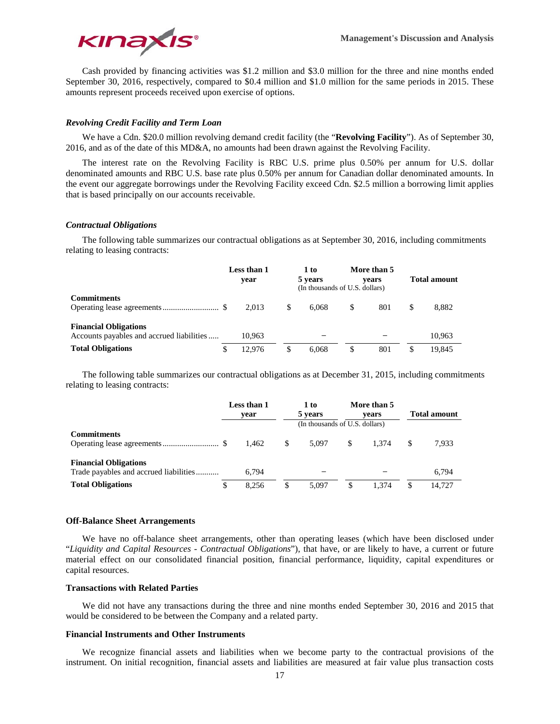

Cash provided by financing activities was \$1.2 million and \$3.0 million for the three and nine months ended September 30, 2016, respectively, compared to \$0.4 million and \$1.0 million for the same periods in 2015. These amounts represent proceeds received upon exercise of options.

## *Revolving Credit Facility and Term Loan*

We have a Cdn. \$20.0 million revolving demand credit facility (the "**Revolving Facility**"). As of September 30, 2016, and as of the date of this MD&A, no amounts had been drawn against the Revolving Facility.

The interest rate on the Revolving Facility is RBC U.S. prime plus 0.50% per annum for U.S. dollar denominated amounts and RBC U.S. base rate plus 0.50% per annum for Canadian dollar denominated amounts. In the event our aggregate borrowings under the Revolving Facility exceed Cdn. \$2.5 million a borrowing limit applies that is based principally on our accounts receivable.

## *Contractual Obligations*

The following table summarizes our contractual obligations as at September 30, 2016, including commitments relating to leasing contracts:

|                                                                           | Less than 1<br>vear |        |     | 1 to<br>5 years<br>(In thousands of U.S. dollars) | More than 5<br>vears | <b>Total amount</b> |        |  |
|---------------------------------------------------------------------------|---------------------|--------|-----|---------------------------------------------------|----------------------|---------------------|--------|--|
| <b>Commitments</b>                                                        |                     | 2.013  | \$. | 6.068                                             | \$<br>801            | S                   | 8,882  |  |
| <b>Financial Obligations</b><br>Accounts payables and accrued liabilities |                     | 10.963 |     |                                                   |                      |                     | 10,963 |  |
| <b>Total Obligations</b>                                                  |                     | 12.976 | S   | 6.068                                             | \$<br>801            |                     | 19.845 |  |

The following table summarizes our contractual obligations as at December 31, 2015, including commitments relating to leasing contracts:

|                                                                        | Less than 1<br>vear            |       | 1 to<br>5 years |       |             | More than 5<br>vears | <b>Total amount</b> |        |  |  |
|------------------------------------------------------------------------|--------------------------------|-------|-----------------|-------|-------------|----------------------|---------------------|--------|--|--|
|                                                                        | (In thousands of U.S. dollars) |       |                 |       |             |                      |                     |        |  |  |
| <b>Commitments</b>                                                     |                                | 1.462 | <sup>S</sup>    | 5.097 | -S<br>1.374 |                      |                     | 7.933  |  |  |
| <b>Financial Obligations</b><br>Trade payables and accrued liabilities |                                | 6.794 |                 |       |             |                      |                     | 6.794  |  |  |
| <b>Total Obligations</b>                                               |                                | 8.256 |                 | 5.097 |             | 1.374                |                     | 14.727 |  |  |

#### **Off-Balance Sheet Arrangements**

We have no off-balance sheet arrangements, other than operating leases (which have been disclosed under "*Liquidity and Capital Resources - Contractual Obligations*"), that have, or are likely to have, a current or future material effect on our consolidated financial position, financial performance, liquidity, capital expenditures or capital resources.

#### **Transactions with Related Parties**

We did not have any transactions during the three and nine months ended September 30, 2016 and 2015 that would be considered to be between the Company and a related party.

#### **Financial Instruments and Other Instruments**

We recognize financial assets and liabilities when we become party to the contractual provisions of the instrument. On initial recognition, financial assets and liabilities are measured at fair value plus transaction costs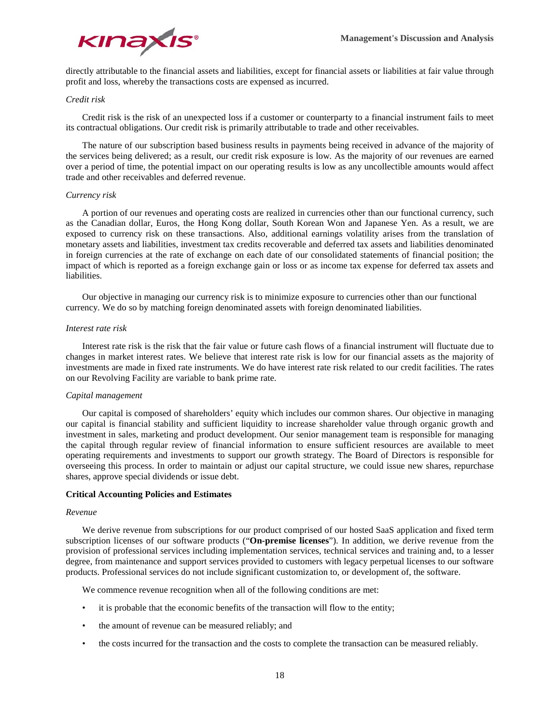

directly attributable to the financial assets and liabilities, except for financial assets or liabilities at fair value through profit and loss, whereby the transactions costs are expensed as incurred.

## *Credit risk*

Credit risk is the risk of an unexpected loss if a customer or counterparty to a financial instrument fails to meet its contractual obligations. Our credit risk is primarily attributable to trade and other receivables.

The nature of our subscription based business results in payments being received in advance of the majority of the services being delivered; as a result, our credit risk exposure is low. As the majority of our revenues are earned over a period of time, the potential impact on our operating results is low as any uncollectible amounts would affect trade and other receivables and deferred revenue.

#### *Currency risk*

A portion of our revenues and operating costs are realized in currencies other than our functional currency, such as the Canadian dollar, Euros, the Hong Kong dollar, South Korean Won and Japanese Yen. As a result, we are exposed to currency risk on these transactions. Also, additional earnings volatility arises from the translation of monetary assets and liabilities, investment tax credits recoverable and deferred tax assets and liabilities denominated in foreign currencies at the rate of exchange on each date of our consolidated statements of financial position; the impact of which is reported as a foreign exchange gain or loss or as income tax expense for deferred tax assets and liabilities.

Our objective in managing our currency risk is to minimize exposure to currencies other than our functional currency. We do so by matching foreign denominated assets with foreign denominated liabilities.

## *Interest rate risk*

Interest rate risk is the risk that the fair value or future cash flows of a financial instrument will fluctuate due to changes in market interest rates. We believe that interest rate risk is low for our financial assets as the majority of investments are made in fixed rate instruments. We do have interest rate risk related to our credit facilities. The rates on our Revolving Facility are variable to bank prime rate.

#### *Capital management*

Our capital is composed of shareholders' equity which includes our common shares. Our objective in managing our capital is financial stability and sufficient liquidity to increase shareholder value through organic growth and investment in sales, marketing and product development. Our senior management team is responsible for managing the capital through regular review of financial information to ensure sufficient resources are available to meet operating requirements and investments to support our growth strategy. The Board of Directors is responsible for overseeing this process. In order to maintain or adjust our capital structure, we could issue new shares, repurchase shares, approve special dividends or issue debt.

#### **Critical Accounting Policies and Estimates**

#### *Revenue*

We derive revenue from subscriptions for our product comprised of our hosted SaaS application and fixed term subscription licenses of our software products ("**On-premise licenses**"). In addition, we derive revenue from the provision of professional services including implementation services, technical services and training and, to a lesser degree, from maintenance and support services provided to customers with legacy perpetual licenses to our software products. Professional services do not include significant customization to, or development of, the software.

We commence revenue recognition when all of the following conditions are met:

- it is probable that the economic benefits of the transaction will flow to the entity;
- the amount of revenue can be measured reliably; and
- the costs incurred for the transaction and the costs to complete the transaction can be measured reliably.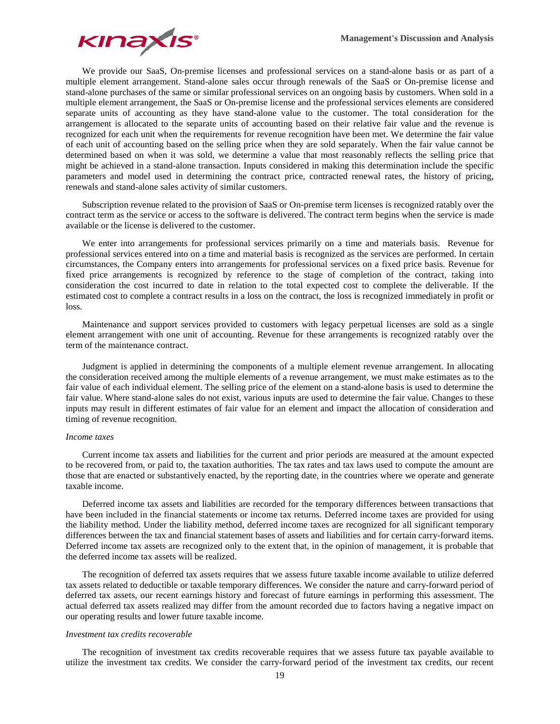

We provide our SaaS, On-premise licenses and professional services on a stand-alone basis or as part of a multiple element arrangement. Stand-alone sales occur through renewals of the SaaS or On-premise license and stand-alone purchases of the same or similar professional services on an ongoing basis by customers. When sold in a multiple element arrangement, the SaaS or On-premise license and the professional services elements are considered separate units of accounting as they have stand-alone value to the customer. The total consideration for the arrangement is allocated to the separate units of accounting based on their relative fair value and the revenue is recognized for each unit when the requirements for revenue recognition have been met. We determine the fair value of each unit of accounting based on the selling price when they are sold separately. When the fair value cannot be determined based on when it was sold, we determine a value that most reasonably reflects the selling price that might be achieved in a stand-alone transaction. Inputs considered in making this determination include the specific parameters and model used in determining the contract price, contracted renewal rates, the history of pricing, renewals and stand-alone sales activity of similar customers.

Subscription revenue related to the provision of SaaS or On-premise term licenses is recognized ratably over the contract term as the service or access to the software is delivered. The contract term begins when the service is made available or the license is delivered to the customer.

We enter into arrangements for professional services primarily on a time and materials basis. Revenue for professional services entered into on a time and material basis is recognized as the services are performed. In certain circumstances, the Company enters into arrangements for professional services on a fixed price basis. Revenue for fixed price arrangements is recognized by reference to the stage of completion of the contract, taking into consideration the cost incurred to date in relation to the total expected cost to complete the deliverable. If the estimated cost to complete a contract results in a loss on the contract, the loss is recognized immediately in profit or loss.

Maintenance and support services provided to customers with legacy perpetual licenses are sold as a single element arrangement with one unit of accounting. Revenue for these arrangements is recognized ratably over the term of the maintenance contract.

Judgment is applied in determining the components of a multiple element revenue arrangement. In allocating the consideration received among the multiple elements of a revenue arrangement, we must make estimates as to the fair value of each individual element. The selling price of the element on a stand-alone basis is used to determine the fair value. Where stand-alone sales do not exist, various inputs are used to determine the fair value. Changes to these inputs may result in different estimates of fair value for an element and impact the allocation of consideration and timing of revenue recognition.

## *Income taxes*

Current income tax assets and liabilities for the current and prior periods are measured at the amount expected to be recovered from, or paid to, the taxation authorities. The tax rates and tax laws used to compute the amount are those that are enacted or substantively enacted, by the reporting date, in the countries where we operate and generate taxable income.

Deferred income tax assets and liabilities are recorded for the temporary differences between transactions that have been included in the financial statements or income tax returns. Deferred income taxes are provided for using the liability method. Under the liability method, deferred income taxes are recognized for all significant temporary differences between the tax and financial statement bases of assets and liabilities and for certain carry-forward items. Deferred income tax assets are recognized only to the extent that, in the opinion of management, it is probable that the deferred income tax assets will be realized.

The recognition of deferred tax assets requires that we assess future taxable income available to utilize deferred tax assets related to deductible or taxable temporary differences. We consider the nature and carry-forward period of deferred tax assets, our recent earnings history and forecast of future earnings in performing this assessment. The actual deferred tax assets realized may differ from the amount recorded due to factors having a negative impact on our operating results and lower future taxable income.

#### *Investment tax credits recoverable*

The recognition of investment tax credits recoverable requires that we assess future tax payable available to utilize the investment tax credits. We consider the carry-forward period of the investment tax credits, our recent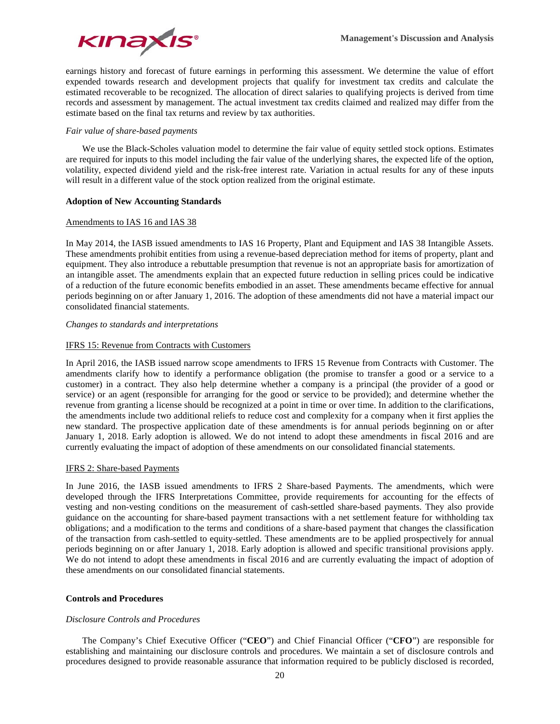

earnings history and forecast of future earnings in performing this assessment. We determine the value of effort expended towards research and development projects that qualify for investment tax credits and calculate the estimated recoverable to be recognized. The allocation of direct salaries to qualifying projects is derived from time records and assessment by management. The actual investment tax credits claimed and realized may differ from the estimate based on the final tax returns and review by tax authorities.

# *Fair value of share-based payments*

We use the Black-Scholes valuation model to determine the fair value of equity settled stock options. Estimates are required for inputs to this model including the fair value of the underlying shares, the expected life of the option, volatility, expected dividend yield and the risk-free interest rate. Variation in actual results for any of these inputs will result in a different value of the stock option realized from the original estimate.

# **Adoption of New Accounting Standards**

# Amendments to IAS 16 and IAS 38

In May 2014, the IASB issued amendments to IAS 16 Property, Plant and Equipment and IAS 38 Intangible Assets. These amendments prohibit entities from using a revenue-based depreciation method for items of property, plant and equipment. They also introduce a rebuttable presumption that revenue is not an appropriate basis for amortization of an intangible asset. The amendments explain that an expected future reduction in selling prices could be indicative of a reduction of the future economic benefits embodied in an asset. These amendments became effective for annual periods beginning on or after January 1, 2016. The adoption of these amendments did not have a material impact our consolidated financial statements.

# *Changes to standards and interpretations*

# IFRS 15: Revenue from Contracts with Customers

In April 2016, the IASB issued narrow scope amendments to IFRS 15 Revenue from Contracts with Customer. The amendments clarify how to identify a performance obligation (the promise to transfer a good or a service to a customer) in a contract. They also help determine whether a company is a principal (the provider of a good or service) or an agent (responsible for arranging for the good or service to be provided); and determine whether the revenue from granting a license should be recognized at a point in time or over time. In addition to the clarifications, the amendments include two additional reliefs to reduce cost and complexity for a company when it first applies the new standard. The prospective application date of these amendments is for annual periods beginning on or after January 1, 2018. Early adoption is allowed. We do not intend to adopt these amendments in fiscal 2016 and are currently evaluating the impact of adoption of these amendments on our consolidated financial statements.

# IFRS 2: Share-based Payments

In June 2016, the IASB issued amendments to IFRS 2 Share-based Payments. The amendments, which were developed through the IFRS Interpretations Committee, provide requirements for accounting for the effects of vesting and non-vesting conditions on the measurement of cash-settled share-based payments. They also provide guidance on the accounting for share-based payment transactions with a net settlement feature for withholding tax obligations; and a modification to the terms and conditions of a share-based payment that changes the classification of the transaction from cash-settled to equity-settled. These amendments are to be applied prospectively for annual periods beginning on or after January 1, 2018. Early adoption is allowed and specific transitional provisions apply. We do not intend to adopt these amendments in fiscal 2016 and are currently evaluating the impact of adoption of these amendments on our consolidated financial statements.

# **Controls and Procedures**

# *Disclosure Controls and Procedures*

The Company's Chief Executive Officer ("**CEO**") and Chief Financial Officer ("**CFO**") are responsible for establishing and maintaining our disclosure controls and procedures. We maintain a set of disclosure controls and procedures designed to provide reasonable assurance that information required to be publicly disclosed is recorded,